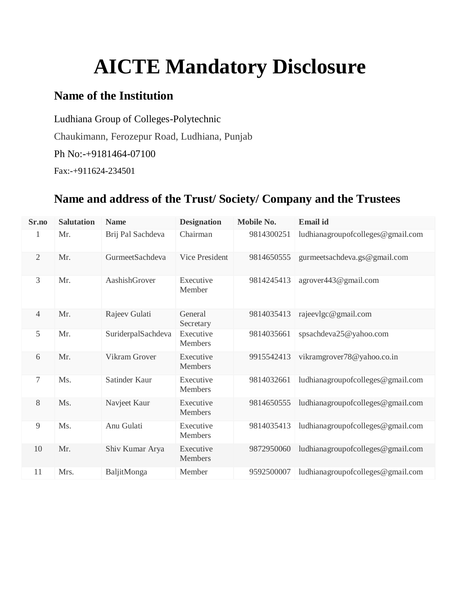# **AICTE Mandatory Disclosure**

### **Name of the Institution**

Ludhiana Group of Colleges-Polytechnic Chaukimann, Ferozepur Road, Ludhiana, Punjab Ph No:-+9181464-07100 Fax:-+911624-234501

### **Name and address of the Trust/ Society/ Company and the Trustees**

| Sr.no          | <b>Salutation</b> | <b>Name</b>        | <b>Designation</b>          | Mobile No. | <b>Email</b> id                   |
|----------------|-------------------|--------------------|-----------------------------|------------|-----------------------------------|
| 1              | Mr.               | Brij Pal Sachdeva  | Chairman                    | 9814300251 | ludhianagroupofcolleges@gmail.com |
| $\overline{2}$ | Mr.               | GurmeetSachdeva    | Vice President              | 9814650555 | gurmeetsachdeva.gs@gmail.com      |
| 3              | Mr.               | AashishGrover      | Executive<br>Member         | 9814245413 | agrover443@gmail.com              |
| 4              | Mr.               | Rajeev Gulati      | General<br>Secretary        | 9814035413 | rajeevlgc@gmail.com               |
| 5              | Mr.               | SuriderpalSachdeva | Executive<br>Members        | 9814035661 | spsachdeva25@yahoo.com            |
| 6              | Mr.               | Vikram Grover      | Executive<br><b>Members</b> | 9915542413 | vikramgrover78@yahoo.co.in        |
| 7              | Ms.               | Satinder Kaur      | Executive<br><b>Members</b> | 9814032661 | ludhianagroupofcolleges@gmail.com |
| 8              | Ms.               | Navjeet Kaur       | Executive<br>Members        | 9814650555 | ludhianagroupofcolleges@gmail.com |
| 9              | Ms.               | Anu Gulati         | Executive<br>Members        | 9814035413 | ludhianagroupofcolleges@gmail.com |
| 10             | Mr.               | Shiv Kumar Arya    | Executive<br><b>Members</b> | 9872950060 | ludhianagroupofcolleges@gmail.com |
| 11             | Mrs.              | BaljitMonga        | Member                      | 9592500007 | ludhianagroupofcolleges@gmail.com |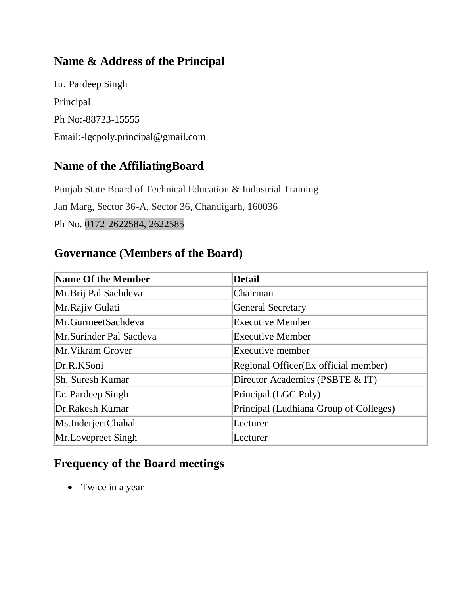# **Name & Address of the Principal**

Er. Pardeep Singh Principal Ph No:-88723-15555 Email:-lgcpoly.principal@gmail.com

### **Name of the AffiliatingBoard**

Punjab State Board of Technical Education & Industrial Training Jan Marg, Sector 36-A, Sector 36, Chandigarh, 160036 Ph No. 0172-2622584, 2622585

### **Governance (Members of the Board)**

| Name Of the Member      | <b>Detail</b>                          |
|-------------------------|----------------------------------------|
| Mr.Brij Pal Sachdeva    | Chairman                               |
| Mr.Rajiv Gulati         | General Secretary                      |
| Mr.GurmeetSachdeva      | <b>Executive Member</b>                |
| Mr.Surinder Pal Sacdeva | <b>Executive Member</b>                |
| Mr. Vikram Grover       | Executive member                       |
| Dr.R.KSoni              | Regional Officer(Ex official member)   |
| Sh. Suresh Kumar        | Director Academics (PSBTE & IT)        |
| Er. Pardeep Singh       | Principal (LGC Poly)                   |
| Dr.Rakesh Kumar         | Principal (Ludhiana Group of Colleges) |
| Ms.InderjeetChahal      | Lecturer                               |
| Mr.Lovepreet Singh      | Lecturer                               |

### **Frequency of the Board meetings**

• Twice in a year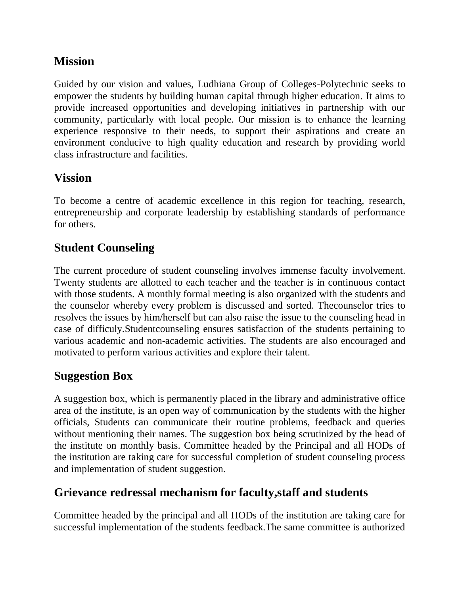### **Mission**

Guided by our vision and values, Ludhiana Group of Colleges-Polytechnic seeks to empower the students by building human capital through higher education. It aims to provide increased opportunities and developing initiatives in partnership with our community, particularly with local people. Our mission is to enhance the learning experience responsive to their needs, to support their aspirations and create an environment conducive to high quality education and research by providing world class infrastructure and facilities.

# **Vission**

To become a centre of academic excellence in this region for teaching, research, entrepreneurship and corporate leadership by establishing standards of performance for others.

### **Student Counseling**

The current procedure of student counseling involves immense faculty involvement. Twenty students are allotted to each teacher and the teacher is in continuous contact with those students. A monthly formal meeting is also organized with the students and the counselor whereby every problem is discussed and sorted. Thecounselor tries to resolves the issues by him/herself but can also raise the issue to the counseling head in case of difficuly.Studentcounseling ensures satisfaction of the students pertaining to various academic and non-academic activities. The students are also encouraged and motivated to perform various activities and explore their talent.

### **Suggestion Box**

A suggestion box, which is permanently placed in the library and administrative office area of the institute, is an open way of communication by the students with the higher officials, Students can communicate their routine problems, feedback and queries without mentioning their names. The suggestion box being scrutinized by the head of the institute on monthly basis. Committee headed by the Principal and all HODs of the institution are taking care for successful completion of student counseling process and implementation of student suggestion.

### **Grievance redressal mechanism for faculty,staff and students**

Committee headed by the principal and all HODs of the institution are taking care for successful implementation of the students feedback.The same committee is authorized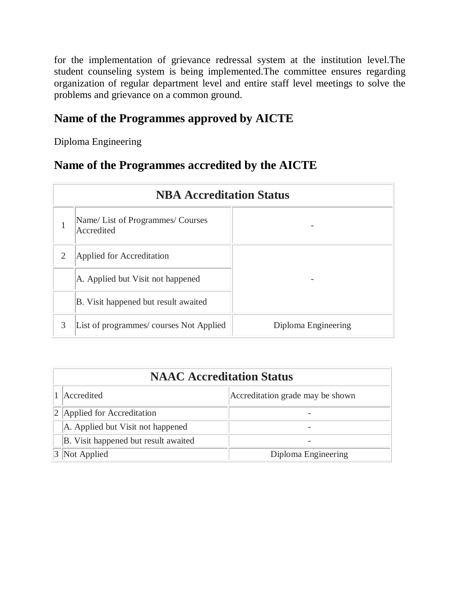for the implementation of grievance redressal system at the institution level.The student counseling system is being implemented.The committee ensures regarding organization of regular department level and entire staff level meetings to solve the problems and grievance on a common ground.

### **Name of the Programmes approved by AICTE**

Diploma Engineering

#### **Name of the Programmes accredited by the AICTE**

|                | <b>NBA Accreditation Status</b>                 |                     |  |  |  |
|----------------|-------------------------------------------------|---------------------|--|--|--|
|                | Name/ List of Programmes/ Courses<br>Accredited |                     |  |  |  |
| $\overline{2}$ | Applied for Accreditation                       |                     |  |  |  |
|                | A. Applied but Visit not happened               |                     |  |  |  |
|                | B. Visit happened but result awaited            |                     |  |  |  |
| 3              | List of programmes/courses Not Applied          | Diploma Engineering |  |  |  |

| <b>NAAC Accreditation Status</b>     |                                  |  |  |  |
|--------------------------------------|----------------------------------|--|--|--|
| Accredited                           | Accreditation grade may be shown |  |  |  |
| 2 Applied for Accreditation          |                                  |  |  |  |
| A. Applied but Visit not happened    |                                  |  |  |  |
| B. Visit happened but result awaited |                                  |  |  |  |
| Not Applied                          | Diploma Engineering              |  |  |  |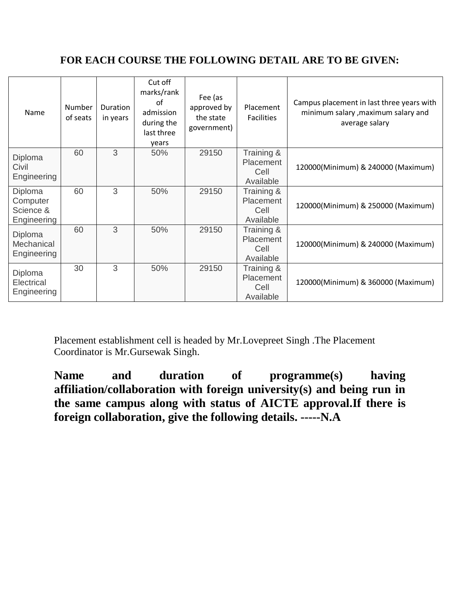#### **FOR EACH COURSE THE FOLLOWING DETAIL ARE TO BE GIVEN:**

| Name                                            | Number<br>of seats | <b>Duration</b><br>in years | Cut off<br>marks/rank<br>Ωf<br>admission<br>during the<br>last three<br>years | Fee (as<br>approved by<br>the state<br>government) | Placement<br><b>Facilities</b>               | Campus placement in last three years with<br>minimum salary , maximum salary and<br>average salary |
|-------------------------------------------------|--------------------|-----------------------------|-------------------------------------------------------------------------------|----------------------------------------------------|----------------------------------------------|----------------------------------------------------------------------------------------------------|
| Diploma<br>Civil<br>Engineering                 | 60                 | 3                           | 50%                                                                           | 29150                                              | Training &<br>Placement<br>Cell<br>Available | 120000(Minimum) & 240000 (Maximum)                                                                 |
| Diploma<br>Computer<br>Science &<br>Engineering | 60                 | 3                           | 50%                                                                           | 29150                                              | Training &<br>Placement<br>Cell<br>Available | 120000(Minimum) & 250000 (Maximum)                                                                 |
| Diploma<br>Mechanical<br>Engineering            | 60                 | 3                           | 50%                                                                           | 29150                                              | Training &<br>Placement<br>Cell<br>Available | 120000(Minimum) & 240000 (Maximum)                                                                 |
| Diploma<br>Electrical<br>Engineering            | 30                 | 3                           | 50%                                                                           | 29150                                              | Training &<br>Placement<br>Cell<br>Available | 120000(Minimum) & 360000 (Maximum)                                                                 |

Placement establishment cell is headed by Mr.Lovepreet Singh .The Placement Coordinator is Mr.Gursewak Singh.

**Name and duration of programme(s) having affiliation/collaboration with foreign university(s) and being run in the same campus along with status of AICTE approval.If there is foreign collaboration, give the following details. -----N.A**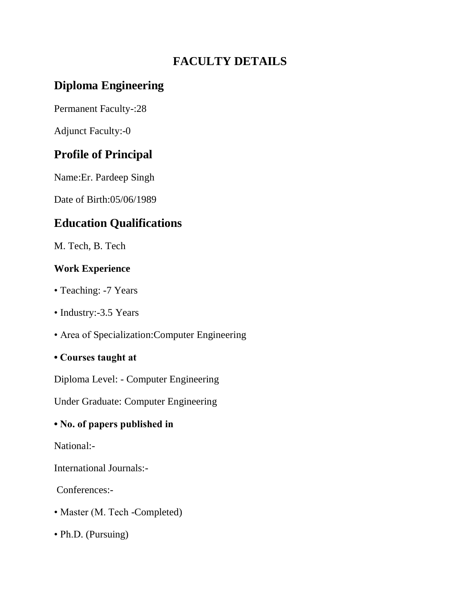# **FACULTY DETAILS**

# **Diploma Engineering**

Permanent Faculty-:28

Adjunct Faculty:-0

# **Profile of Principal**

Name:Er. Pardeep Singh

Date of Birth:05/06/1989

# **Education Qualifications**

M. Tech, B. Tech

#### **Work Experience**

- Teaching: -7 Years
- Industry:-3.5 Years
- Area of Specialization:Computer Engineering
- **Courses taught at**

Diploma Level: - Computer Engineering

Under Graduate: Computer Engineering

#### **• No. of papers published in**

National:-

International Journals:-

Conferences:-

- Master (M. Tech -Completed)
- Ph.D. (Pursuing)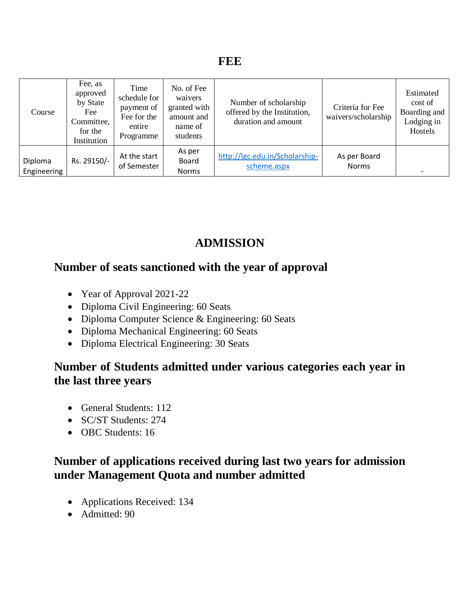| Course                 | Fee, as<br>approved<br>by State<br>Fee<br>Committee,<br>for the<br>Institution | Time<br>schedule for<br>payment of<br>Fee for the<br>entire<br>Programme | No. of Fee<br>waivers<br>granted with<br>amount and<br>name of<br>students | Number of scholarship<br>offered by the Institution,<br>duration and amount | Criteria for Fee<br>waivers/scholarship | Estimated<br>cost of<br>Boarding and<br>Lodging in<br>Hostels |
|------------------------|--------------------------------------------------------------------------------|--------------------------------------------------------------------------|----------------------------------------------------------------------------|-----------------------------------------------------------------------------|-----------------------------------------|---------------------------------------------------------------|
| Diploma<br>Engineering | Rs. 29150/-                                                                    | At the start<br>of Semester                                              | As per<br>Board<br><b>Norms</b>                                            | http://lgc.edu.in/Scholarship-<br>scheme.aspx                               | As per Board<br><b>Norms</b>            |                                                               |

# **ADMISSION**

### **Number of seats sanctioned with the year of approval**

- Year of Approval 2021-22
- Diploma Civil Engineering: 60 Seats
- Diploma Computer Science & Engineering: 60 Seats
- Diploma Mechanical Engineering: 60 Seats
- Diploma Electrical Engineering: 30 Seats

### **Number of Students admitted under various categories each year in the last three years**

- General Students: 112
- SC/ST Students: 274
- OBC Students: 16

### **Number of applications received during last two years for admission under Management Quota and number admitted**

- Applications Received: 134
- Admitted: 90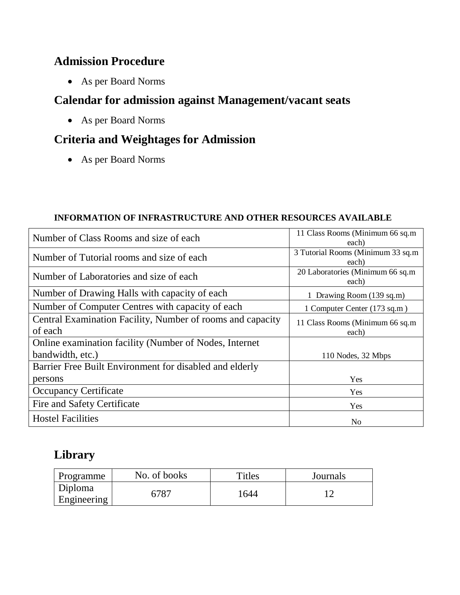### **Admission Procedure**

As per Board Norms

### **Calendar for admission against Management/vacant seats**

As per Board Norms

# **Criteria and Weightages for Admission**

As per Board Norms

#### **INFORMATION OF INFRASTRUCTURE AND OTHER RESOURCES AVAILABLE**

| Number of Class Rooms and size of each                     | 11 Class Rooms (Minimum 66 sq.m<br>each)    |
|------------------------------------------------------------|---------------------------------------------|
| Number of Tutorial rooms and size of each                  | 3 Tutorial Rooms (Minimum 33 sq.m)<br>each) |
| Number of Laboratories and size of each                    | 20 Laboratories (Minimum 66 sq.m)<br>each)  |
| Number of Drawing Halls with capacity of each              | 1 Drawing Room (139 sq.m)                   |
| Number of Computer Centres with capacity of each           | 1 Computer Center (173 sq.m)                |
| Central Examination Facility, Number of rooms and capacity | 11 Class Rooms (Minimum 66 sq.m)            |
| of each                                                    | each)                                       |
| Online examination facility (Number of Nodes, Internet     |                                             |
| bandwidth, etc.)                                           | 110 Nodes, 32 Mbps                          |
| Barrier Free Built Environment for disabled and elderly    |                                             |
| persons                                                    | Yes                                         |
| <b>Occupancy Certificate</b>                               | Yes                                         |
| Fire and Safety Certificate                                | Yes                                         |
| <b>Hostel Facilities</b>                                   | No                                          |

### **Library**

| Programme              | No. of books | <b>Titles</b> | Journals |
|------------------------|--------------|---------------|----------|
| Diploma<br>Engineering | 6787         | 1644          |          |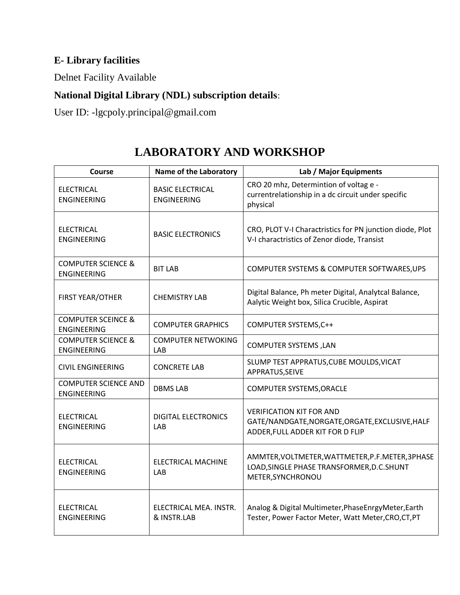### **E- Library facilities**

Delnet Facility Available

#### **National Digital Library (NDL) subscription details**:

User ID: -lgcpoly.principal@gmail.com

| Course                                              | <b>Name of the Laboratory</b>                 | Lab / Major Equipments                                                                                                 |
|-----------------------------------------------------|-----------------------------------------------|------------------------------------------------------------------------------------------------------------------------|
| <b>ELECTRICAL</b><br><b>ENGINEERING</b>             | <b>BASIC ELECTRICAL</b><br><b>ENGINEERING</b> | CRO 20 mhz, Determintion of voltag e -<br>currentrelationship in a dc circuit under specific<br>physical               |
| <b>ELECTRICAL</b><br><b>ENGINEERING</b>             | <b>BASIC ELECTRONICS</b>                      | CRO, PLOT V-I Charactristics for PN junction diode, Plot<br>V-I charactristics of Zenor diode, Transist                |
| <b>COMPUTER SCIENCE &amp;</b><br><b>ENGINEERING</b> | <b>BIT LAB</b>                                | COMPUTER SYSTEMS & COMPUTER SOFTWARES, UPS                                                                             |
| <b>FIRST YEAR/OTHER</b>                             | <b>CHEMISTRY LAB</b>                          | Digital Balance, Ph meter Digital, Analytcal Balance,<br>Aalytic Weight box, Silica Crucible, Aspirat                  |
| <b>COMPUTER SCEINCE &amp;</b><br><b>ENGINEERING</b> | <b>COMPUTER GRAPHICS</b>                      | COMPUTER SYSTEMS, C++                                                                                                  |
| <b>COMPUTER SCIENCE &amp;</b><br><b>ENGINEERING</b> | <b>COMPUTER NETWOKING</b><br>LAB              | <b>COMPUTER SYSTEMS, LAN</b>                                                                                           |
| <b>CIVIL ENGINEERING</b>                            | <b>CONCRETE LAB</b>                           | SLUMP TEST APPRATUS, CUBE MOULDS, VICAT<br>APPRATUS, SEIVE                                                             |
| <b>COMPUTER SCIENCE AND</b><br><b>ENGINEERING</b>   | <b>DBMS LAB</b>                               | <b>COMPUTER SYSTEMS, ORACLE</b>                                                                                        |
| <b>ELECTRICAL</b><br><b>ENGINEERING</b>             | <b>DIGITAL ELECTRONICS</b><br>LAB             | <b>VERIFICATION KIT FOR AND</b><br>GATE/NANDGATE, NORGATE, ORGATE, EXCLUSIVE, HALF<br>ADDER, FULL ADDER KIT FOR D FLIP |
| <b>ELECTRICAL</b><br><b>ENGINEERING</b>             | <b>ELECTRICAL MACHINE</b><br>LAB              | AMMTER, VOLTMETER, WATTMETER, P.F. METER, 3PHASE<br>LOAD, SINGLE PHASE TRANSFORMER, D.C. SHUNT<br>METER, SYNCHRONOU    |
| <b>ELECTRICAL</b><br><b>ENGINEERING</b>             | ELECTRICAL MEA. INSTR.<br>& INSTR.LAB         | Analog & Digital Multimeter, Phase Enrgy Meter, Earth<br>Tester, Power Factor Meter, Watt Meter, CRO, CT, PT           |

### **LABORATORY AND WORKSHOP**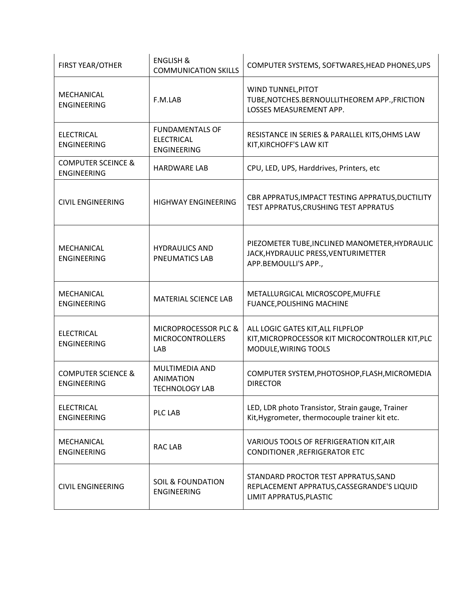| <b>ENGLISH &amp;</b><br><b>FIRST YEAR/OTHER</b><br><b>COMMUNICATION SKILLS</b> |                                                                    | COMPUTER SYSTEMS, SOFTWARES, HEAD PHONES, UPS                                                                  |
|--------------------------------------------------------------------------------|--------------------------------------------------------------------|----------------------------------------------------------------------------------------------------------------|
| MECHANICAL<br><b>ENGINEERING</b>                                               | F.M.LAB                                                            | WIND TUNNEL, PITOT<br>TUBE, NOTCHES. BERNOULLITHEOREM APP., FRICTION<br>LOSSES MEASUREMENT APP.                |
| <b>ELECTRICAL</b><br><b>ENGINEERING</b>                                        | <b>FUNDAMENTALS OF</b><br><b>ELECTRICAL</b><br><b>ENGINEERING</b>  | RESISTANCE IN SERIES & PARALLEL KITS, OHMS LAW<br>KIT, KIRCHOFF'S LAW KIT                                      |
| <b>COMPUTER SCEINCE &amp;</b><br><b>ENGINEERING</b>                            | <b>HARDWARE LAB</b>                                                | CPU, LED, UPS, Harddrives, Printers, etc                                                                       |
| <b>CIVIL ENGINEERING</b><br><b>HIGHWAY ENGINEERING</b>                         |                                                                    | CBR APPRATUS, IMPACT TESTING APPRATUS, DUCTILITY<br>TEST APPRATUS, CRUSHING TEST APPRATUS                      |
| MECHANICAL<br><b>ENGINEERING</b>                                               | <b>HYDRAULICS AND</b><br><b>PNEUMATICS LAB</b>                     | PIEZOMETER TUBE, INCLINED MANOMETER, HYDRAULIC<br>JACK, HYDRAULIC PRESS, VENTURIMETTER<br>APP.BEMOULLI'S APP., |
| MECHANICAL<br><b>ENGINEERING</b>                                               | MATERIAL SCIENCE LAB                                               | METALLURGICAL MICROSCOPE, MUFFLE<br><b>FUANCE, POLISHING MACHINE</b>                                           |
| <b>ELECTRICAL</b>                                                              | MICROPROCESSOR PLC &                                               |                                                                                                                |
| <b>ENGINEERING</b>                                                             | <b>MICROCONTROLLERS</b><br>LAB                                     | ALL LOGIC GATES KIT, ALL FILPFLOP<br>KIT, MICROPROCESSOR KIT MICROCONTROLLER KIT, PLC<br>MODULE, WIRING TOOLS  |
| <b>COMPUTER SCIENCE &amp;</b><br><b>ENGINEERING</b>                            | <b>MULTIMEDIA AND</b><br><b>ANIMATION</b><br><b>TECHNOLOGY LAB</b> | COMPUTER SYSTEM, PHOTOSHOP, FLASH, MICROMEDIA<br><b>DIRECTOR</b>                                               |
| <b>ELECTRICAL</b><br><b>ENGINEERING</b>                                        | PLC LAB                                                            | LED, LDR photo Transistor, Strain gauge, Trainer<br>Kit, Hygrometer, thermocouple trainer kit etc.             |
| MECHANICAL<br><b>ENGINEERING</b>                                               | <b>RAC LAB</b>                                                     | VARIOUS TOOLS OF REFRIGERATION KIT, AIR<br><b>CONDITIONER, REFRIGERATOR ETC</b>                                |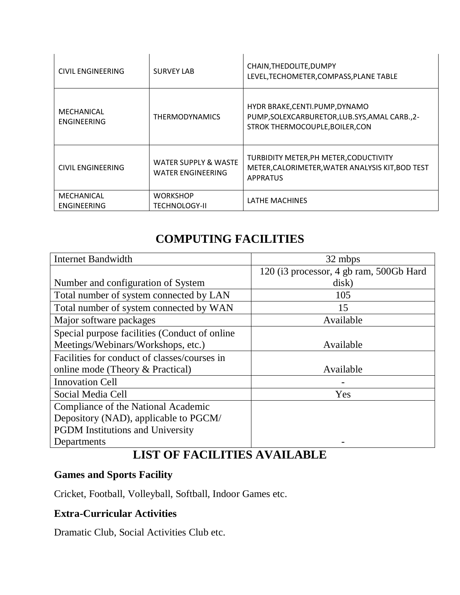| CIVIL ENGINEERING                                                           | <b>SURVEY LAB</b>                                           | CHAIN, THE DOLITE, DUMPY<br>LEVEL, TECHOMETER, COMPASS, PLANE TABLE                                                   |
|-----------------------------------------------------------------------------|-------------------------------------------------------------|-----------------------------------------------------------------------------------------------------------------------|
| MECHANICAL<br>ENGINEERING                                                   | <b>THERMODYNAMICS</b>                                       | HYDR BRAKE, CENTI. PUMP, DYNAMO<br>PUMP, SOLEXCARBURETOR, LUB. SYS, AMAL CARB., 2-<br>STROK THERMOCOUPLE, BOILER, CON |
| CIVIL ENGINEERING                                                           | <b>WATER SUPPLY &amp; WASTE</b><br><b>WATER ENGINEERING</b> | TURBIDITY METER, PH METER, CODUCTIVITY<br>METER, CALORIMETER, WATER ANALYSIS KIT, BOD TEST<br><b>APPRATUS</b>         |
| MECHANICAL<br><b>WORKSHOP</b><br><b>ENGINEERING</b><br><b>TECHNOLOGY-II</b> |                                                             | LATHE MACHINES                                                                                                        |

### **COMPUTING FACILITIES**

| <b>Internet Bandwidth</b>                     | 32 mbps                                 |
|-----------------------------------------------|-----------------------------------------|
|                                               | 120 (i3 processor, 4 gb ram, 500Gb Hard |
| Number and configuration of System            | disk)                                   |
| Total number of system connected by LAN       | 105                                     |
| Total number of system connected by WAN       | 15                                      |
| Major software packages                       | Available                               |
| Special purpose facilities (Conduct of online |                                         |
| Meetings/Webinars/Workshops, etc.)            | Available                               |
| Facilities for conduct of classes/courses in  |                                         |
| online mode (Theory & Practical)              | Available                               |
| <b>Innovation Cell</b>                        |                                         |
| Social Media Cell                             | Yes                                     |
| Compliance of the National Academic           |                                         |
| Depository (NAD), applicable to PGCM/         |                                         |
| <b>PGDM</b> Institutions and University       |                                         |
| Departments                                   |                                         |

### **LIST OF FACILITIES AVAILABLE**

#### **Games and Sports Facility**

Cricket, Football, Volleyball, Softball, Indoor Games etc.

#### **Extra-Curricular Activities**

Dramatic Club, Social Activities Club etc.